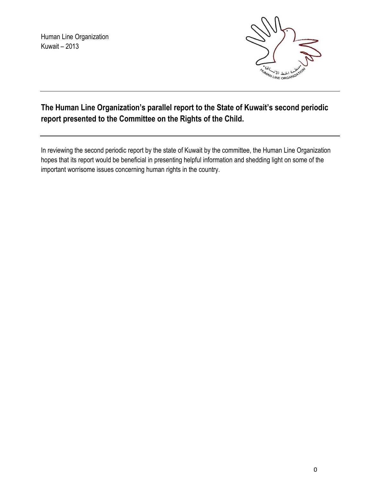Human Line Organization Kuwait – 2013



# **The Human Line Organization's parallel report to the State of Kuwait's second periodic report presented to the Committee on the Rights of the Child.**

In reviewing the second periodic report by the state of Kuwait by the committee, the Human Line Organization hopes that its report would be beneficial in presenting helpful information and shedding light on some of the important worrisome issues concerning human rights in the country.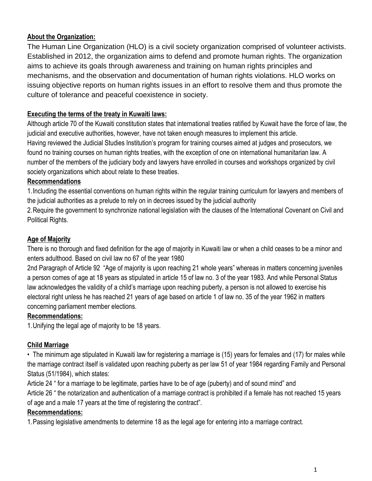### **About the Organization:**

The Human Line Organization (HLO) is a civil society organization comprised of volunteer activists. Established in 2012, the organization aims to defend and promote human rights. The organization aims to achieve its goals through awareness and training on human rights principles and mechanisms, and the observation and documentation of human rights violations. HLO works on issuing objective reports on human rights issues in an effort to resolve them and thus promote the culture of tolerance and peaceful coexistence in society.

### **Executing the terms of the treaty in Kuwaiti laws:**

Although article 70 of the Kuwaiti constitution states that international treaties ratified by Kuwait have the force of law, the judicial and executive authorities, however, have not taken enough measures to implement this article. Having reviewed the Judicial Studies Institution's program for training courses aimed at judges and prosecutors, we found no training courses on human rights treaties, with the exception of one on international humanitarian law. A number of the members of the judiciary body and lawyers have enrolled in courses and workshops organized by civil society organizations which about relate to these treaties.

#### **Recommendations**

1.Including the essential conventions on human rights within the regular training curriculum for lawyers and members of the judicial authorities as a prelude to rely on in decrees issued by the judicial authority

2.Require the government to synchronize national legislation with the clauses of the International Covenant on Civil and Political Rights.

### **Age of Majority**

There is no thorough and fixed definition for the age of majority in Kuwaiti law or when a child ceases to be a minor and enters adulthood. Based on civil law no 67 of the year 1980

2nd Paragraph of Article 92 "Age of majority is upon reaching 21 whole years" whereas in matters concerning juveniles a person comes of age at 18 years as stipulated in article 15 of law no. 3 of the year 1983. And while Personal Status law acknowledges the validity of a child's marriage upon reaching puberty, a person is not allowed to exercise his electoral right unless he has reached 21 years of age based on article 1 of law no. 35 of the year 1962 in matters concerning parliament member elections.

#### **Recommendations:**

1.Unifying the legal age of majority to be 18 years.

#### **Child Marriage**

• The minimum age stipulated in Kuwaiti law for registering a marriage is (15) years for females and (17) for males while the marriage contract itself is validated upon reaching puberty as per law 51 of year 1984 regarding Family and Personal Status (51/1984), which states:

Article 24 " for a marriage to be legitimate, parties have to be of age (puberty) and of sound mind" and Article 26 " the notarization and authentication of a marriage contract is prohibited if a female has not reached 15 years of age and a male 17 years at the time of registering the contract".

#### **Recommendations:**

1.Passing legislative amendments to determine 18 as the legal age for entering into a marriage contract.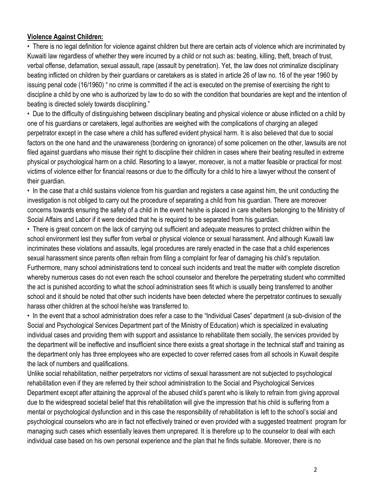#### **Violence Against Children:**

• There is no legal definition for violence against children but there are certain acts of violence which are incriminated by Kuwaiti law regardless of whether they were incurred by a child or not such as: beating, killing, theft, breach of trust, verbal offense, defamation, sexual assault, rape (assault by penetration). Yet, the law does not criminalize disciplinary beating inflicted on children by their guardians or caretakers as is stated in article 26 of law no. 16 of the year 1960 by issuing penal code (16/1960) " no crime is committed if the act is executed on the premise of exercising the right to discipline a child by one who is authorized by law to do so with the condition that boundaries are kept and the intention of beating is directed solely towards disciplining."

• Due to the difficulty of distinguishing between disciplinary beating and physical violence or abuse inflicted on a child by one of his guardians or caretakers, legal authorities are weighed with the complications of charging an alleged perpetrator except in the case where a child has suffered evident physical harm. It is also believed that due to social factors on the one hand and the unawareness (bordering on ignorance) of some policemen on the other, lawsuits are not filed against guardians who misuse their right to discipline their children in cases where their beating resulted in extreme physical or psychological harm on a child. Resorting to a lawyer, moreover, is not a matter feasible or practical for most victims of violence either for financial reasons or due to the difficulty for a child to hire a lawyer without the consent of their guardian.

• In the case that a child sustains violence from his guardian and registers a case against him, the unit conducting the investigation is not obliged to carry out the procedure of separating a child from his guardian. There are moreover concerns towards ensuring the safety of a child in the event he/she is placed in care shelters belonging to the Ministry of Social Affairs and Labor if it were decided that he is required to be separated from his guardian.

• There is great concern on the lack of carrying out sufficient and adequate measures to protect children within the school environment lest they suffer from verbal or physical violence or sexual harassment. And although Kuwaiti law incriminates these violations and assaults, legal procedures are rarely enacted in the case that a child experiences sexual harassment since parents often refrain from filing a complaint for fear of damaging his child's reputation. Furthermore, many school administrations tend to conceal such incidents and treat the matter with complete discretion whereby numerous cases do not even reach the school counselor and therefore the perpetrating student who committed the act is punished according to what the school administration sees fit which is usually being transferred to another school and it should be noted that other such incidents have been detected where the perpetrator continues to sexually harass other children at the school he/she was transferred to.

• In the event that a school administration does refer a case to the "Individual Cases" department (a sub-division of the Social and Psychological Services Department part of the Ministry of Education) which is specialized in evaluating individual cases and providing them with support and assistance to rehabilitate them socially, the services provided by the department will be ineffective and insufficient since there exists a great shortage in the technical staff and training as the department only has three employees who are expected to cover referred cases from all schools in Kuwait despite the lack of numbers and qualifications.

Unlike social rehabilitation, neither perpetrators nor victims of sexual harassment are not subjected to psychological rehabilitation even if they are referred by their school administration to the Social and Psychological Services Department except after attaining the approval of the abused child's parent who is likely to refrain from giving approval due to the widespread societal belief that this rehabilitation will give the impression that his child is suffering from a mental or psychological dysfunction and in this case the responsibility of rehabilitation is left to the school's social and psychological counselors who are in fact not effectively trained or even provided with a suggested treatment program for managing such cases which essentially leaves them unprepared. It is therefore up to the counselor to deal with each individual case based on his own personal experience and the plan that he finds suitable. Moreover, there is no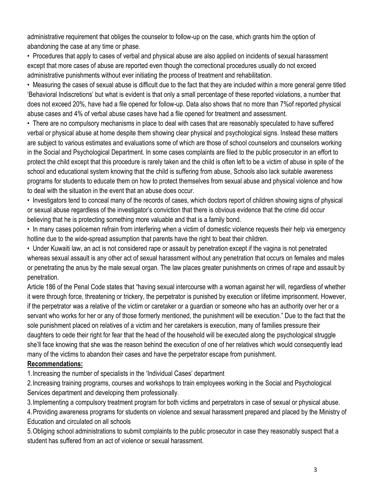administrative requirement that obliges the counselor to follow-up on the case, which grants him the option of abandoning the case at any time or phase.

• Procedures that apply to cases of verbal and physical abuse are also applied on incidents of sexual harassment except that more cases of abuse are reported even though the correctional procedures usually do not exceed administrative punishments without ever initiating the process of treatment and rehabilitation.

• Measuring the cases of sexual abuse is difficult due to the fact that they are included within a more general genre titled 'Behavioral Indiscretions' but what is evident is that only a small percentage of these reported violations, a number that does not exceed 20%, have had a file opened for follow-up. Data also shows that no more than 7%of reported physical abuse cases and 4% of verbal abuse cases have had a file opened for treatment and assessment.

• There are no compulsory mechanisms in place to deal with cases that are reasonably speculated to have suffered verbal or physical abuse at home despite them showing clear physical and psychological signs. Instead these matters are subject to various estimates and evaluations some of which are those of school counselors and counselors working in the Social and Psychological Department. In some cases complaints are filed to the public prosecutor in an effort to protect the child except that this procedure is rarely taken and the child is often left to be a victim of abuse in spite of the school and educational system knowing that the child is suffering from abuse, Schools also lack suitable awareness programs for students to educate them on how to protect themselves from sexual abuse and physical violence and how to deal with the situation in the event that an abuse does occur.

• Investigators tend to conceal many of the records of cases, which doctors report of children showing signs of physical or sexual abuse regardless of the investigator's conviction that there is obvious evidence that the crime did occur believing that he is protecting something more valuable and that is a family bond.

• In many cases policemen refrain from interfering when a victim of domestic violence requests their help via emergency hotline due to the wide-spread assumption that parents have the right to beat their children.

• Under Kuwaiti law, an act is not considered rape or assault by penetration except if the vagina is not penetrated whereas sexual assault is any other act of sexual harassment without any penetration that occurs on females and males or penetrating the anus by the male sexual organ. The law places greater punishments on crimes of rape and assault by penetration.

Article 186 of the Penal Code states that "having sexual intercourse with a woman against her will, regardless of whether it were through force, threatening or trickery, the perpetrator is punished by execution or lifetime imprisonment. However, if the perpetrator was a relative of the victim or caretaker or a guardian or someone who has an authority over her or a servant who works for her or any of those formerly mentioned, the punishment will be execution." Due to the fact that the sole punishment placed on relatives of a victim and her caretakers is execution, many of families pressure their daughters to cede their right for fear that the head of the household will be executed along the psychological struggle she'll face knowing that she was the reason behind the execution of one of her relatives which would consequently lead many of the victims to abandon their cases and have the perpetrator escape from punishment.

#### **Recommendations:**

1.Increasing the number of specialists in the 'Individual Cases' department

2.Increasing training programs, courses and workshops to train employees working in the Social and Psychological Services department and developing them professionally.

3.Implementing a compulsory treatment program for both victims and perpetrators in case of sexual or physical abuse.

4.Providing awareness programs for students on violence and sexual harassment prepared and placed by the Ministry of Education and circulated on all schools

5.Obliging school administrations to submit complaints to the public prosecutor in case they reasonably suspect that a student has suffered from an act of violence or sexual harassment.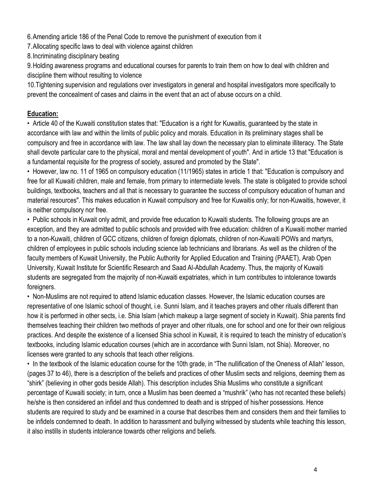6.Amending article 186 of the Penal Code to remove the punishment of execution from it

7.Allocating specific laws to deal with violence against children

8.Incriminating disciplinary beating

9.Holding awareness programs and educational courses for parents to train them on how to deal with children and discipline them without resulting to violence

10.Tightening supervision and regulations over investigators in general and hospital investigators more specifically to prevent the concealment of cases and claims in the event that an act of abuse occurs on a child.

### **Education:**

• Article 40 of the Kuwaiti constitution states that: "Education is a right for Kuwaitis, guaranteed by the state in accordance with law and within the limits of public policy and morals. Education in its preliminary stages shall be compulsory and free in accordance with law. The law shall lay down the necessary plan to eliminate illiteracy. The State shall devote particular care to the physical, moral and mental development of youth". And in article 13 that "Education is a fundamental requisite for the progress of society, assured and promoted by the State".

• However, law no. 11 of 1965 on compulsory education (11/1965) states in article 1 that: "Education is compulsory and free for all Kuwaiti children, male and female, from primary to intermediate levels. The state is obligated to provide school buildings, textbooks, teachers and all that is necessary to guarantee the success of compulsory education of human and material resources". This makes education in Kuwait compulsory and free for Kuwaitis only; for non-Kuwaitis, however, it is neither compulsory nor free.

• Public schools in Kuwait only admit, and provide free education to Kuwaiti students. The following groups are an exception, and they are admitted to public schools and provided with free education: children of a Kuwaiti mother married to a non-Kuwaiti, children of GCC citizens, children of foreign diplomats, children of non-Kuwaiti POWs and martyrs, children of employees in public schools including science lab technicians and librarians. As well as the children of the faculty members of Kuwait University, the Public Authority for Applied Education and Training (PAAET), Arab Open University, Kuwait Institute for Scientific Research and Saad Al-Abdullah Academy. Thus, the majority of Kuwaiti students are segregated from the majority of non-Kuwaiti expatriates, which in turn contributes to intolerance towards foreigners.

• Non-Muslims are not required to attend Islamic education classes. However, the Islamic education courses are representative of one Islamic school of thought, i.e. Sunni Islam, and it teaches prayers and other rituals different than how it is performed in other sects, i.e. Shia Islam (which makeup a large segment of society in Kuwait). Shia parents find themselves teaching their children two methods of prayer and other rituals, one for school and one for their own religious practices. And despite the existence of a licensed Shia school in Kuwait, it is required to teach the ministry of education's textbooks, including Islamic education courses (which are in accordance with Sunni Islam, not Shia). Moreover, no licenses were granted to any schools that teach other religions.

• In the textbook of the Islamic education course for the 10th grade, in "The nullification of the Oneness of Allah" lesson, (pages 37 to 46), there is a description of the beliefs and practices of other Muslim sects and religions, deeming them as "shirk" (believing in other gods beside Allah). This description includes Shia Muslims who constitute a significant percentage of Kuwaiti society; in turn, once a Muslim has been deemed a "mushrik" (who has not recanted these beliefs) he/she is then considered an infidel and thus condemned to death and is stripped of his/her possessions. Hence students are required to study and be examined in a course that describes them and considers them and their families to be infidels condemned to death. In addition to harassment and bullying witnessed by students while teaching this lesson, it also instills in students intolerance towards other religions and beliefs.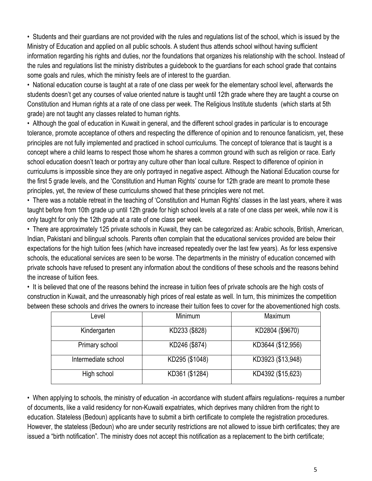• Students and their guardians are not provided with the rules and regulations list of the school, which is issued by the Ministry of Education and applied on all public schools. A student thus attends school without having sufficient information regarding his rights and duties, nor the foundations that organizes his relationship with the school. Instead of the rules and regulations list the ministry distributes a guidebook to the guardians for each school grade that contains some goals and rules, which the ministry feels are of interest to the guardian.

• National education course is taught at a rate of one class per week for the elementary school level, afterwards the students doesn't get any courses of value oriented nature is taught until 12th grade where they are taught a course on Constitution and Human rights at a rate of one class per week. The Religious Institute students (which starts at 5th grade) are not taught any classes related to human rights.

• Although the goal of education in Kuwait in general, and the different school grades in particular is to encourage tolerance, promote acceptance of others and respecting the difference of opinion and to renounce fanaticism, yet, these principles are not fully implemented and practiced in school curriculums. The concept of tolerance that is taught is a concept where a child learns to respect those whom he shares a common ground with such as religion or race. Early school education doesn't teach or portray any culture other than local culture. Respect to difference of opinion in curriculums is impossible since they are only portrayed in negative aspect. Although the National Education course for the first 5 grade levels, and the 'Constitution and Human Rights' course for 12th grade are meant to promote these principles, yet, the review of these curriculums showed that these principles were not met.

• There was a notable retreat in the teaching of 'Constitution and Human Rights' classes in the last years, where it was taught before from 10th grade up until 12th grade for high school levels at a rate of one class per week, while now it is only taught for only the 12th grade at a rate of one class per week.

• There are approximately 125 private schools in Kuwait, they can be categorized as: Arabic schools, British, American, Indian, Pakistani and bilingual schools. Parents often complain that the educational services provided are below their expectations for the high tuition fees (which have increased repeatedly over the last few years). As for less expensive schools, the educational services are seen to be worse. The departments in the ministry of education concerned with private schools have refused to present any information about the conditions of these schools and the reasons behind the increase of tuition fees.

• It is believed that one of the reasons behind the increase in tuition fees of private schools are the high costs of construction in Kuwait, and the unreasonably high prices of real estate as well. In turn, this minimizes the competition between these schools and drives the owners to increase their tuition fees to cover for the abovementioned high costs.

| Level               | Minimum        | Maximum           |
|---------------------|----------------|-------------------|
| Kindergarten        | KD233 (\$828)  | KD2804 (\$9670)   |
| Primary school      | KD246 (\$874)  | KD3644 (\$12,956) |
| Intermediate school | KD295 (\$1048) | KD3923 (\$13,948) |
| High school         | KD361 (\$1284) | KD4392 (\$15,623) |

• When applying to schools, the ministry of education -in accordance with student affairs regulations- requires a number of documents, like a valid residency for non-Kuwaiti expatriates, which deprives many children from the right to education. Stateless (Bedoun) applicants have to submit a birth certificate to complete the registration procedures. However, the stateless (Bedoun) who are under security restrictions are not allowed to issue birth certificates; they are issued a "birth notification". The ministry does not accept this notification as a replacement to the birth certificate;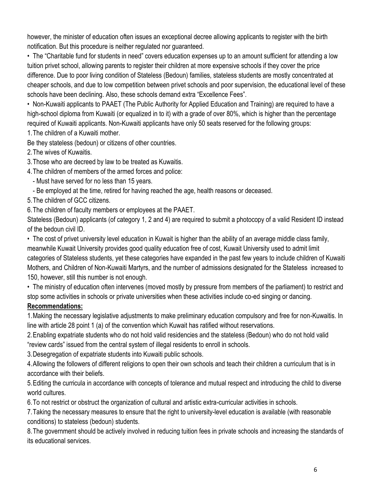however, the minister of education often issues an exceptional decree allowing applicants to register with the birth notification. But this procedure is neither regulated nor guaranteed.

• The "Charitable fund for students in need" covers education expenses up to an amount sufficient for attending a low tuition privet school, allowing parents to register their children at more expensive schools if they cover the price difference. Due to poor living condition of Stateless (Bedoun) families, stateless students are mostly concentrated at cheaper schools, and due to low competition between privet schools and poor supervision, the educational level of these schools have been declining. Also, these schools demand extra "Excellence Fees".

• Non-Kuwaiti applicants to PAAET (The Public Authority for Applied Education and Training) are required to have a high-school diploma from Kuwaiti (or equalized in to it) with a grade of over 80%, which is higher than the percentage required of Kuwaiti applicants. Non-Kuwaiti applicants have only 50 seats reserved for the following groups:

1.The children of a Kuwaiti mother.

Be they stateless (bedoun) or citizens of other countries.

2.The wives of Kuwaitis.

3.Those who are decreed by law to be treated as Kuwaitis.

4.The children of members of the armed forces and police:

- Must have served for no less than 15 years.

- Be employed at the time, retired for having reached the age, health reasons or deceased.

5.The children of GCC citizens.

6.The children of faculty members or employees at the PAAET.

Stateless (Bedoun) applicants (of category 1, 2 and 4) are required to submit a photocopy of a valid Resident ID instead of the bedoun civil ID.

• The cost of privet university level education in Kuwait is higher than the ability of an average middle class family, meanwhile Kuwait University provides good quality education free of cost, Kuwait University used to admit limit categories of Stateless students, yet these categories have expanded in the past few years to include children of Kuwaiti Mothers, and Children of Non-Kuwaiti Martyrs, and the number of admissions designated for the Stateless increased to 150, however, still this number is not enough.

• The ministry of education often intervenes (moved mostly by pressure from members of the parliament) to restrict and stop some activities in schools or private universities when these activities include co-ed singing or dancing.

#### **Recommendations:**

1.Making the necessary legislative adjustments to make preliminary education compulsory and free for non-Kuwaitis. In line with article 28 point 1 (a) of the convention which Kuwait has ratified without reservations.

2.Enabling expatriate students who do not hold valid residencies and the stateless (Bedoun) who do not hold valid "review cards" issued from the central system of illegal residents to enroll in schools.

3.Desegregation of expatriate students into Kuwaiti public schools.

4.Allowing the followers of different religions to open their own schools and teach their children a curriculum that is in accordance with their beliefs.

5.Editing the curricula in accordance with concepts of tolerance and mutual respect and introducing the child to diverse world cultures.

6.To not restrict or obstruct the organization of cultural and artistic extra-curricular activities in schools.

7.Taking the necessary measures to ensure that the right to university-level education is available (with reasonable conditions) to stateless (bedoun) students.

8.The government should be actively involved in reducing tuition fees in private schools and increasing the standards of its educational services.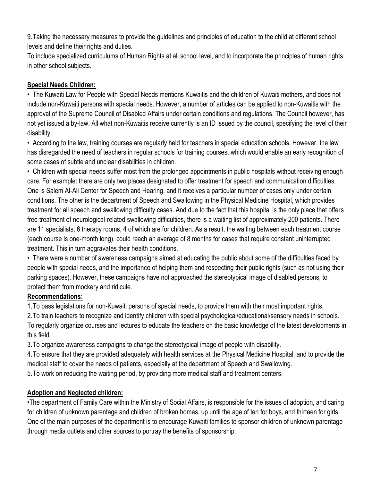9.Taking the necessary measures to provide the guidelines and principles of education to the child at different school levels and define their rights and duties.

To include specialized curriculums of Human Rights at all school level, and to incorporate the principles of human rights in other school subjects.

### **Special Needs Children:**

• The Kuwaiti Law for People with Special Needs mentions Kuwaitis and the children of Kuwaiti mothers, and does not include non-Kuwaiti persons with special needs. However, a number of articles can be applied to non-Kuwaitis with the approval of the Supreme Council of Disabled Affairs under certain conditions and regulations. The Council however, has not yet issued a by-law. All what non-Kuwaitis receive currently is an ID issued by the council, specifying the level of their disability.

• According to the law, training courses are regularly held for teachers in special education schools. However, the law has disregarded the need of teachers in regular schools for training courses, which would enable an early recognition of some cases of subtle and unclear disabilities in children.

• Children with special needs suffer most from the prolonged appointments in public hospitals without receiving enough care. For example: there are only two places designated to offer treatment for speech and communication difficulties. One is Salem Al-Ali Center for Speech and Hearing, and it receives a particular number of cases only under certain conditions. The other is the department of Speech and Swallowing in the Physical Medicine Hospital, which provides treatment for all speech and swallowing difficulty cases. And due to the fact that this hospital is the only place that offers free treatment of neurological-related swallowing difficulties, there is a waiting list of approximately 200 patients. There are 11 specialists, 6 therapy rooms, 4 of which are for children. As a result, the waiting between each treatment course (each course is one-month long), could reach an average of 8 months for cases that require constant uninterrupted treatment. This in turn aggravates their health conditions.

• There were a number of awareness campaigns aimed at educating the public about some of the difficulties faced by people with special needs, and the importance of helping them and respecting their public rights (such as not using their parking spaces). However, these campaigns have not approached the stereotypical image of disabled persons, to protect them from mockery and ridicule.

### **Recommendations:**

1.To pass legislations for non-Kuwaiti persons of special needs, to provide them with their most important rights.

2.To train teachers to recognize and identify children with special psychological/educational/sensory needs in schools. To regularly organize courses and lectures to educate the teachers on the basic knowledge of the latest developments in this field.

3.To organize awareness campaigns to change the stereotypical image of people with disability.

4.To ensure that they are provided adequately with health services at the Physical Medicine Hospital, and to provide the medical staff to cover the needs of patients, especially at the department of Speech and Swallowing.

5.To work on reducing the waiting period, by providing more medical staff and treatment centers.

# **Adoption and Neglected children:**

•The department of Family Care within the Ministry of Social Affairs, is responsible for the issues of adoption, and caring for children of unknown parentage and children of broken homes, up until the age of ten for boys, and thirteen for girls. One of the main purposes of the department is to encourage Kuwaiti families to sponsor children of unknown parentage through media outlets and other sources to portray the benefits of sponsorship.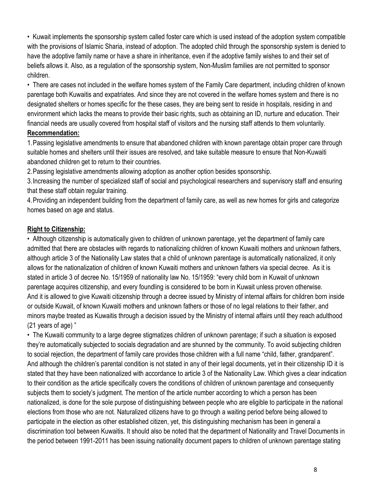• Kuwait implements the sponsorship system called foster care which is used instead of the adoption system compatible with the provisions of Islamic Sharia, instead of adoption. The adopted child through the sponsorship system is denied to have the adoptive family name or have a share in inheritance, even if the adoptive family wishes to and their set of beliefs allows it. Also, as a regulation of the sponsorship system, Non-Muslim families are not permitted to sponsor children.

• There are cases not included in the welfare homes system of the Family Care department, including children of known parentage both Kuwaitis and expatriates. And since they are not covered in the welfare homes system and there is no designated shelters or homes specific for the these cases, they are being sent to reside in hospitals, residing in and environment which lacks the means to provide their basic rights, such as obtaining an ID, nurture and education. Their financial needs are usually covered from hospital staff of visitors and the nursing staff attends to them voluntarily.

#### **Recommendation:**

1.Passing legislative amendments to ensure that abandoned children with known parentage obtain proper care through suitable homes and shelters until their issues are resolved, and take suitable measure to ensure that Non-Kuwaiti abandoned children get to return to their countries.

2.Passing legislative amendments allowing adoption as another option besides sponsorship.

3.Increasing the number of specialized staff of social and psychological researchers and supervisory staff and ensuring that these staff obtain regular training.

4.Providing an independent building from the department of family care, as well as new homes for girls and categorize homes based on age and status.

#### **Right to Citizenship:**

• Although citizenship is automatically given to children of unknown parentage, yet the department of family care admitted that there are obstacles with regards to nationalizing children of known Kuwaiti mothers and unknown fathers, although article 3 of the Nationality Law states that a child of unknown parentage is automatically nationalized, it only allows for the nationalization of children of known Kuwaiti mothers and unknown fathers via special decree. As it is stated in article 3 of decree No. 15/1959 of nationality law No. 15/1959: "every child born in Kuwait of unknown parentage acquires citizenship, and every foundling is considered to be born in Kuwait unless proven otherwise. And it is allowed to give Kuwaiti citizenship through a decree issued by Ministry of internal affairs for children born inside or outside Kuwait, of known Kuwaiti mothers and unknown fathers or those of no legal relations to their father, and minors maybe treated as Kuwaitis through a decision issued by the Ministry of internal affairs until they reach adulthood (21 years of age) "

• The Kuwaiti community to a large degree stigmatizes children of unknown parentage; if such a situation is exposed they're automatically subjected to socials degradation and are shunned by the community. To avoid subjecting children to social rejection, the department of family care provides those children with a full name "child, father, grandparent". And although the children's parental condition is not stated in any of their legal documents, yet in their citizenship ID it is stated that they have been nationalized with accordance to article 3 of the Nationality Law. Which gives a clear indication to their condition as the article specifically covers the conditions of children of unknown parentage and consequently subjects them to society's judgment. The mention of the article number according to which a person has been nationalized, is done for the sole purpose of distinguishing between people who are eligible to participate in the national elections from those who are not. Naturalized citizens have to go through a waiting period before being allowed to participate in the election as other established citizen, yet, this distinguishing mechanism has been in general a discrimination tool between Kuwaitis. It should also be noted that the department of Nationality and Travel Documents in the period between 1991-2011 has been issuing nationality document papers to children of unknown parentage stating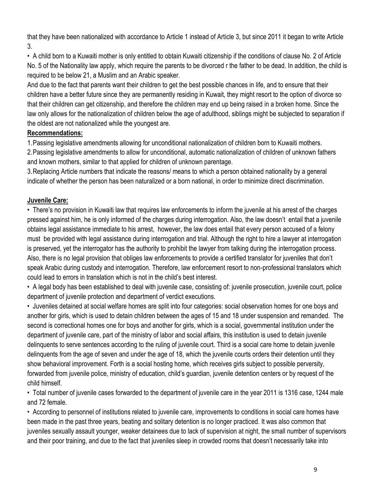that they have been nationalized with accordance to Article 1 instead of Article 3, but since 2011 it began to write Article 3.

• A child born to a Kuwaiti mother is only entitled to obtain Kuwaiti citizenship if the conditions of clause No. 2 of Article No. 5 of the Nationality law apply, which require the parents to be divorced r the father to be dead. In addition, the child is required to be below 21, a Muslim and an Arabic speaker.

And due to the fact that parents want their children to get the best possible chances in life, and to ensure that their children have a better future since they are permanently residing in Kuwait, they might resort to the option of divorce so that their children can get citizenship, and therefore the children may end up being raised in a broken home. Since the law only allows for the nationalization of children below the age of adulthood, siblings might be subjected to separation if the oldest are not nationalized while the youngest are.

### **Recommendations:**

1.Passing legislative amendments allowing for unconditional nationalization of children born to Kuwaiti mothers.

2.Passing legislative amendments to allow for unconditional, automatic nationalization of children of unknown fathers and known mothers, similar to that applied for children of unknown parentage.

3.Replacing Article numbers that indicate the reasons/ means to which a person obtained nationality by a general indicate of whether the person has been naturalized or a born national, in order to minimize direct discrimination.

## **Juvenile Care:**

• There's no provision in Kuwaiti law that requires law enforcements to inform the juvenile at his arrest of the charges pressed against him, he is only informed of the charges during interrogation. Also, the law doesn't entail that a juvenile obtains legal assistance immediate to his arrest, however, the law does entail that every person accused of a felony must be provided with legal assistance during interrogation and trial. Although the right to hire a lawyer at interrogation is preserved, yet the interrogator has the authority to prohibit the lawyer from talking during the interrogation process. Also, there is no legal provision that obliges law enforcements to provide a certified translator for juveniles that don't speak Arabic during custody and interrogation. Therefore, law enforcement resort to non-professional translators which could lead to errors in translation which is not in the child's best interest.

• A legal body has been established to deal with juvenile case, consisting of: juvenile prosecution, juvenile court, police department of juvenile protection and department of verdict executions.

• Juveniles detained at social welfare homes are split into four categories: social observation homes for one boys and another for girls, which is used to detain children between the ages of 15 and 18 under suspension and remanded. The second is correctional homes one for boys and another for girls, which is a social, governmental institution under the department of juvenile care, part of the ministry of labor and social affairs, this institution is used to detain juvenile delinquents to serve sentences according to the ruling of juvenile court. Third is a social care home to detain juvenile delinquents from the age of seven and under the age of 18, which the juvenile courts orders their detention until they show behavioral improvement. Forth is a social hosting home, which receives girls subject to possible perversity, forwarded from juvenile police, ministry of education, child's guardian, juvenile detention centers or by request of the child himself.

• Total number of juvenile cases forwarded to the department of juvenile care in the year 2011 is 1316 case, 1244 male and 72 female.

• According to personnel of institutions related to juvenile care, improvements to conditions in social care homes have been made in the past three years, beating and solitary detention is no longer practiced. It was also common that juveniles sexually assault younger, weaker detainees due to lack of supervision at night, the small number of supervisors and their poor training, and due to the fact that juveniles sleep in crowded rooms that doesn't necessarily take into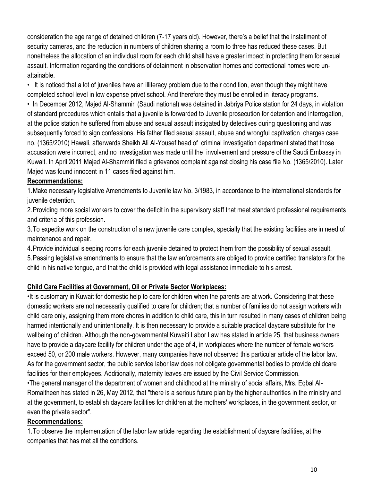consideration the age range of detained children (7-17 years old). However, there's a belief that the installment of security cameras, and the reduction in numbers of children sharing a room to three has reduced these cases. But nonetheless the allocation of an individual room for each child shall have a greater impact in protecting them for sexual assault. Information regarding the conditions of detainment in observation homes and correctional homes were unattainable.

• It is noticed that a lot of juveniles have an illiteracy problem due to their condition, even though they might have completed school level in low expense privet school. And therefore they must be enrolled in literacy programs.

• In December 2012, Majed Al-Shammiri (Saudi national) was detained in Jabriya Police station for 24 days, in violation of standard procedures which entails that a juvenile is forwarded to Juvenile prosecution for detention and interrogation, at the police station he suffered from abuse and sexual assault instigated by detectives during questioning and was subsequently forced to sign confessions. His father filed sexual assault, abuse and wrongful captivation charges case no. (1365/2010) Hawali, afterwards Sheikh Ali Al-Yousef head of criminal investigation department stated that those accusation were incorrect, and no investigation was made until the involvement and pressure of the Saudi Embassy in Kuwait. In April 2011 Majed Al-Shammiri filed a grievance complaint against closing his case file No. (1365/2010). Later Majed was found innocent in 11 cases filed against him.

#### **Recommendations:**

1.Make necessary legislative Amendments to Juvenile law No. 3/1983, in accordance to the international standards for juvenile detention.

2.Providing more social workers to cover the deficit in the supervisory staff that meet standard professional requirements and criteria of this profession.

3.To expedite work on the construction of a new juvenile care complex, specially that the existing facilities are in need of maintenance and repair.

4.Provide individual sleeping rooms for each juvenile detained to protect them from the possibility of sexual assault.

5.Passing legislative amendments to ensure that the law enforcements are obliged to provide certified translators for the child in his native tongue, and that the child is provided with legal assistance immediate to his arrest.

#### **Child Care Facilities at Government, Oil or Private Sector Workplaces:**

•It is customary in Kuwait for domestic help to care for children when the parents are at work. Considering that these domestic workers are not necessarily qualified to care for children; that a number of families do not assign workers with child care only, assigning them more chores in addition to child care, this in turn resulted in many cases of children being harmed intentionally and unintentionally. It is then necessary to provide a suitable practical daycare substitute for the wellbeing of children. Although the non-governmental Kuwaiti Labor Law has stated in article 25, that business owners have to provide a daycare facility for children under the age of 4, in workplaces where the number of female workers exceed 50, or 200 male workers. However, many companies have not observed this particular article of the labor law. As for the government sector, the public service labor law does not obligate governmental bodies to provide childcare facilities for their employees. Additionally, maternity leaves are issued by the Civil Service Commission.

•The general manager of the department of women and childhood at the ministry of social affairs, Mrs. Eqbal Al-Romaitheen has stated in 26, May 2012, that "there is a serious future plan by the higher authorities in the ministry and at the government, to establish daycare facilities for children at the mothers' workplaces, in the government sector, or even the private sector".

#### **Recommendations:**

1.To observe the implementation of the labor law article regarding the establishment of daycare facilities, at the companies that has met all the conditions.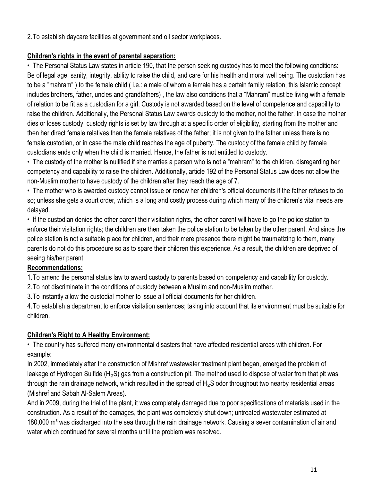2.To establish daycare facilities at government and oil sector workplaces.

### **Children's rights in the event of parental separation:**

• The Personal Status Law states in article 190, that the person seeking custody has to meet the following conditions: Be of legal age, sanity, integrity, ability to raise the child, and care for his health and moral well being. The custodian has to be a "mahram" ) to the female child ( i.e.: a male of whom a female has a certain family relation, this Islamic concept includes brothers, father, uncles and grandfathers) , the law also conditions that a "Mahram" must be living with a female of relation to be fit as a custodian for a girl. Custody is not awarded based on the level of competence and capability to raise the children. Additionally, the Personal Status Law awards custody to the mother, not the father. In case the mother dies or loses custody, custody rights is set by law through at a specific order of eligibility, starting from the mother and then her direct female relatives then the female relatives of the father; it is not given to the father unless there is no female custodian, or in case the male child reaches the age of puberty. The custody of the female child by female custodians ends only when the child is married. Hence, the father is not entitled to custody.

• The custody of the mother is nullified if she marries a person who is not a "mahram" to the children, disregarding her competency and capability to raise the children. Additionally, article 192 of the Personal Status Law does not allow the non-Muslim mother to have custody of the children after they reach the age of 7.

• The mother who is awarded custody cannot issue or renew her children's official documents if the father refuses to do so; unless she gets a court order, which is a long and costly process during which many of the children's vital needs are delayed.

• If the custodian denies the other parent their visitation rights, the other parent will have to go the police station to enforce their visitation rights; the children are then taken the police station to be taken by the other parent. And since the police station is not a suitable place for children, and their mere presence there might be traumatizing to them, many parents do not do this procedure so as to spare their children this experience. As a result, the children are deprived of seeing his/her parent.

### **Recommendations:**

1.To amend the personal status law to award custody to parents based on competency and capability for custody.

2.To not discriminate in the conditions of custody between a Muslim and non-Muslim mother.

3.To instantly allow the custodial mother to issue all official documents for her children.

4.To establish a department to enforce visitation sentences; taking into account that its environment must be suitable for children.

### **Children's Right to A Healthy Environment:**

• The country has suffered many environmental disasters that have affected residential areas with children. For example:

In 2002, immediately after the construction of Mishref wastewater treatment plant began, emerged the problem of leakage of Hydrogen Sulfide (H<sub>2</sub>S) gas from a construction pit. The method used to dispose of water from that pit was through the rain drainage network, which resulted in the spread of  $H_2S$  odor throughout two nearby residential areas (Mishref and Sabah Al-Salem Areas).

And in 2009, during the trial of the plant, it was completely damaged due to poor specifications of materials used in the construction. As a result of the damages, the plant was completely shut down; untreated wastewater estimated at 180,000 m<sup>3</sup> was discharged into the sea through the rain drainage network. Causing a sever contamination of air and water which continued for several months until the problem was resolved.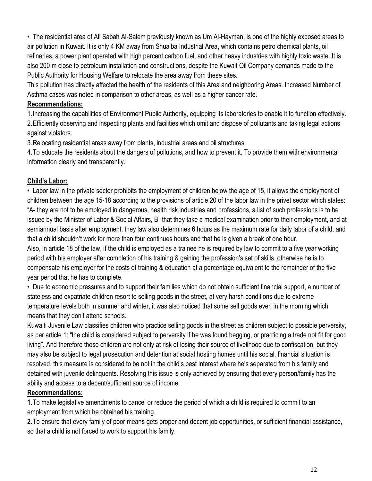• The residential area of Ali Sabah Al-Salem previously known as Um Al-Hayman, is one of the highly exposed areas to air pollution in Kuwait. It is only 4 KM away from Shuaiba Industrial Area, which contains petro chemical plants, oil refineries, a power plant operated with high percent carbon fuel, and other heavy industries with highly toxic waste. It is also 200 m close to petroleum installation and constructions, despite the Kuwait Oil Company demands made to the Public Authority for Housing Welfare to relocate the area away from these sites.

This pollution has directly affected the health of the residents of this Area and neighboring Areas. Increased Number of Asthma cases was noted in comparison to other areas, as well as a higher cancer rate.

### **Recommendations:**

1.Increasing the capabilities of Environment Public Authority, equipping its laboratories to enable it to function effectively. 2.Efficiently observing and inspecting plants and facilities which omit and dispose of pollutants and taking legal actions against violators.

3.Relocating residential areas away from plants, industrial areas and oil structures.

4.To educate the residents about the dangers of pollutions, and how to prevent it. To provide them with environmental information clearly and transparently.

### **Child's Labor:**

• Labor law in the private sector prohibits the employment of children below the age of 15, it allows the employment of children between the age 15-18 according to the provisions of article 20 of the labor law in the privet sector which states: "A- they are not to be employed in dangerous, health risk industries and professions, a list of such professions is to be issued by the Minister of Labor & Social Affairs, B- that they take a medical examination prior to their employment, and at semiannual basis after employment, they law also determines 6 hours as the maximum rate for daily labor of a child, and that a child shouldn't work for more than four continues hours and that he is given a break of one hour.

Also, in article 18 of the law, if the child is employed as a trainee he is required by law to commit to a five year working period with his employer after completion of his training & gaining the profession's set of skills, otherwise he is to compensate his employer for the costs of training & education at a percentage equivalent to the remainder of the five year period that he has to complete.

• Due to economic pressures and to support their families which do not obtain sufficient financial support, a number of stateless and expatriate children resort to selling goods in the street, at very harsh conditions due to extreme temperature levels both in summer and winter, it was also noticed that some sell goods even in the morning which means that they don't attend schools.

Kuwaiti Juvenile Law classifies children who practice selling goods in the street as children subject to possible perversity, as per article 1: "the child is considered subject to perversity if he was found begging, or practicing a trade not fit for good living". And therefore those children are not only at risk of losing their source of livelihood due to confiscation, but they may also be subject to legal prosecution and detention at social hosting homes until his social, financial situation is resolved, this measure is considered to be not in the child's best interest where he's separated from his family and detained with juvenile delinquents. Resolving this issue is only achieved by ensuring that every person/family has the ability and access to a decent/sufficient source of income.

### **Recommendations:**

**1.**To make legislative amendments to cancel or reduce the period of which a child is required to commit to an employment from which he obtained his training.

**2.**To ensure that every family of poor means gets proper and decent job opportunities, or sufficient financial assistance, so that a child is not forced to work to support his family.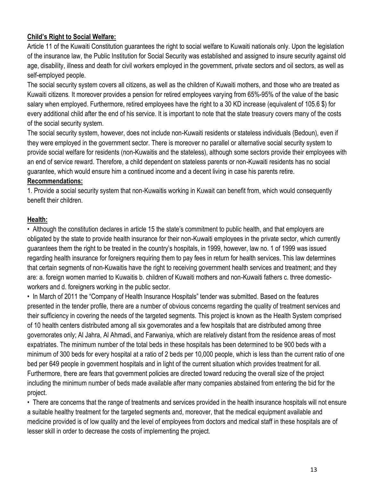### **Child's Right to Social Welfare:**

Article 11 of the Kuwaiti Constitution guarantees the right to social welfare to Kuwaiti nationals only. Upon the legislation of the insurance law, the Public Institution for Social Security was established and assigned to insure security against old age, disability, illness and death for civil workers employed in the government, private sectors and oil sectors, as well as self-employed people.

The social security system covers all citizens, as well as the children of Kuwaiti mothers, and those who are treated as Kuwaiti citizens. It moreover provides a pension for retired employees varying from 65%-95% of the value of the basic salary when employed. Furthermore, retired employees have the right to a 30 KD increase (equivalent of 105.6 \$) for every additional child after the end of his service. It is important to note that the state treasury covers many of the costs of the social security system.

The social security system, however, does not include non-Kuwaiti residents or stateless individuals (Bedoun), even if they were employed in the government sector. There is moreover no parallel or alternative social security system to provide social welfare for residents (non-Kuwaitis and the stateless), although some sectors provide their employees with an end of service reward. Therefore, a child dependent on stateless parents or non-Kuwaiti residents has no social guarantee, which would ensure him a continued income and a decent living in case his parents retire.

#### **Recommendations:**

1. Provide a social security system that non-Kuwaitis working in Kuwait can benefit from, which would consequently benefit their children.

#### **Health:**

• Although the constitution declares in article 15 the state's commitment to public health, and that employers are obligated by the state to provide health insurance for their non-Kuwaiti employees in the private sector, which currently guarantees them the right to be treated in the country's hospitals, in 1999, however, law no. 1 of 1999 was issued regarding health insurance for foreigners requiring them to pay fees in return for health services. This law determines that certain segments of non-Kuwaitis have the right to receiving government health services and treatment; and they are: a. foreign women married to Kuwaitis b. children of Kuwaiti mothers and non-Kuwaiti fathers c. three domesticworkers and d. foreigners working in the public sector.

• In March of 2011 the "Company of Health Insurance Hospitals" tender was submitted. Based on the features presented in the tender profile, there are a number of obvious concerns regarding the quality of treatment services and their sufficiency in covering the needs of the targeted segments. This project is known as the Health System comprised of 10 health centers distributed among all six governorates and a few hospitals that are distributed among three governorates only; Al Jahra, Al Ahmadi, and Farwaniya, which are relatively distant from the residence areas of most expatriates. The minimum number of the total beds in these hospitals has been determined to be 900 beds with a minimum of 300 beds for every hospital at a ratio of 2 beds per 10,000 people, which is less than the current ratio of one bed per 649 people in government hospitals and in light of the current situation which provides treatment for all. Furthermore, there are fears that government policies are directed toward reducing the overall size of the project including the minimum number of beds made available after many companies abstained from entering the bid for the project.

• There are concerns that the range of treatments and services provided in the health insurance hospitals will not ensure a suitable healthy treatment for the targeted segments and, moreover, that the medical equipment available and medicine provided is of low quality and the level of employees from doctors and medical staff in these hospitals are of lesser skill in order to decrease the costs of implementing the project.